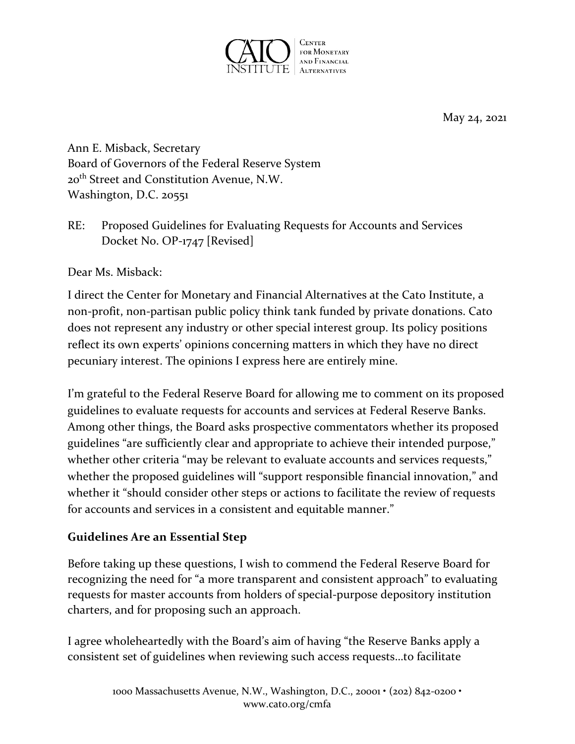

May 24, 2021

Ann E. Misback, Secretary Board of Governors of the Federal Reserve System 20th Street and Constitution Avenue, N.W. Washington, D.C. 20551

RE: Proposed Guidelines for Evaluating Requests for Accounts and Services Docket No. OP-1747 [Revised]

Dear Ms. Misback:

I direct the Center for Monetary and Financial Alternatives at the Cato Institute, a non-profit, non-partisan public policy think tank funded by private donations. Cato does not represent any industry or other special interest group. Its policy positions reflect its own experts' opinions concerning matters in which they have no direct pecuniary interest. The opinions I express here are entirely mine.

I'm grateful to the Federal Reserve Board for allowing me to comment on its proposed guidelines to evaluate requests for accounts and services at Federal Reserve Banks. Among other things, the Board asks prospective commentators whether its proposed guidelines "are sufficiently clear and appropriate to achieve their intended purpose," whether other criteria "may be relevant to evaluate accounts and services requests," whether the proposed guidelines will "support responsible financial innovation," and whether it "should consider other steps or actions to facilitate the review of requests for accounts and services in a consistent and equitable manner."

## **Guidelines Are an Essential Step**

Before taking up these questions, I wish to commend the Federal Reserve Board for recognizing the need for "a more transparent and consistent approach" to evaluating requests for master accounts from holders of special-purpose depository institution charters, and for proposing such an approach.

I agree wholeheartedly with the Board's aim of having "the Reserve Banks apply a consistent set of guidelines when reviewing such access requests…to facilitate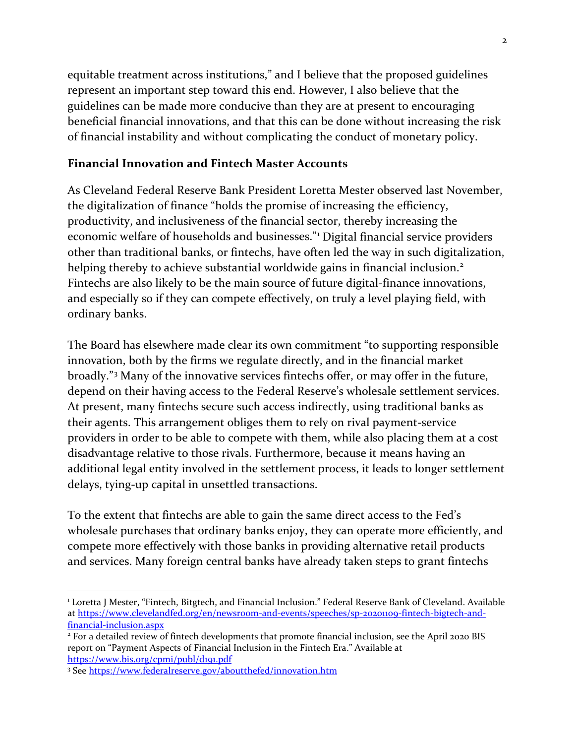equitable treatment across institutions," and I believe that the proposed guidelines represent an important step toward this end. However, I also believe that the guidelines can be made more conducive than they are at present to encouraging beneficial financial innovations, and that this can be done without increasing the risk of financial instability and without complicating the conduct of monetary policy.

#### **Financial Innovation and Fintech Master Accounts**

As Cleveland Federal Reserve Bank President Loretta Mester observed last November, the digitalization of finance "holds the promise of increasing the efficiency, productivity, and inclusiveness of the financial sector, thereby increasing the economic welfare of households and businesses."[1](#page-1-0) Digital financial service providers other than traditional banks, or fintechs, have often led the way in such digitalization, helping thereby to achieve substantial worldwide gains in financial inclusion.<sup>[2](#page-1-1)</sup> Fintechs are also likely to be the main source of future digital-finance innovations, and especially so if they can compete effectively, on truly a level playing field, with ordinary banks.

The Board has elsewhere made clear its own commitment "to supporting responsible innovation, both by the firms we regulate directly, and in the financial market broadly."[3](#page-1-2) Many of the innovative services fintechs offer, or may offer in the future, depend on their having access to the Federal Reserve's wholesale settlement services. At present, many fintechs secure such access indirectly, using traditional banks as their agents. This arrangement obliges them to rely on rival payment-service providers in order to be able to compete with them, while also placing them at a cost disadvantage relative to those rivals. Furthermore, because it means having an additional legal entity involved in the settlement process, it leads to longer settlement delays, tying-up capital in unsettled transactions.

To the extent that fintechs are able to gain the same direct access to the Fed's wholesale purchases that ordinary banks enjoy, they can operate more efficiently, and compete more effectively with those banks in providing alternative retail products and services. Many foreign central banks have already taken steps to grant fintechs

<span id="page-1-0"></span><sup>1</sup> Loretta J Mester, "Fintech, Bitgtech, and Financial Inclusion." Federal Reserve Bank of Cleveland. Available at [https://www.clevelandfed.org/en/newsroom-and-events/speeches/sp-20201109-fintech-bigtech-and](https://www.clevelandfed.org/en/newsroom-and-events/speeches/sp-20201109-fintech-bigtech-and-financial-inclusion.aspx)financial-inclusion.aspx<br><sup>2</sup> For a detailed review of fintech developments that promote financial inclusion, see the April 2020 BIS

<span id="page-1-1"></span>report on "Payment Aspects of Financial Inclusion in the Fintech Era." Available at <https://www.bis.org/cpmi/publ/d191.pdf>

<span id="page-1-2"></span><sup>3</sup> Se[e https://www.federalreserve.gov/aboutthefed/innovation.htm](https://www.federalreserve.gov/aboutthefed/innovation.htm)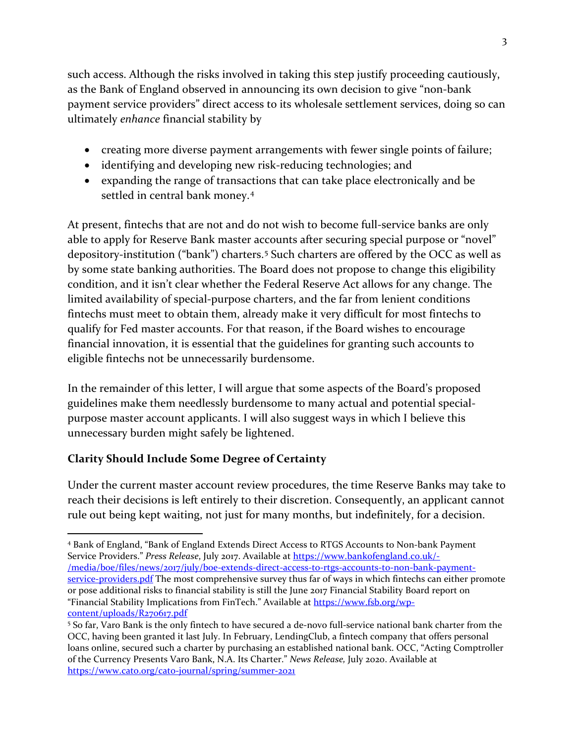such access. Although the risks involved in taking this step justify proceeding cautiously, as the Bank of England observed in announcing its own decision to give "non-bank payment service providers" direct access to its wholesale settlement services, doing so can ultimately *enhance* financial stability by

- creating more diverse payment arrangements with fewer single points of failure;
- identifying and developing new risk-reducing technologies; and
- expanding the range of transactions that can take place electronically and be settled in central bank money.[4](#page-2-0)

At present, fintechs that are not and do not wish to become full-service banks are only able to apply for Reserve Bank master accounts after securing special purpose or "novel" depository-institution ("bank") charters.[5](#page-2-1) Such charters are offered by the OCC as well as by some state banking authorities. The Board does not propose to change this eligibility condition, and it isn't clear whether the Federal Reserve Act allows for any change. The limited availability of special-purpose charters, and the far from lenient conditions fintechs must meet to obtain them, already make it very difficult for most fintechs to qualify for Fed master accounts. For that reason, if the Board wishes to encourage financial innovation, it is essential that the guidelines for granting such accounts to eligible fintechs not be unnecessarily burdensome.

In the remainder of this letter, I will argue that some aspects of the Board's proposed guidelines make them needlessly burdensome to many actual and potential specialpurpose master account applicants. I will also suggest ways in which I believe this unnecessary burden might safely be lightened.

# **Clarity Should Include Some Degree of Certainty**

Under the current master account review procedures, the time Reserve Banks may take to reach their decisions is left entirely to their discretion. Consequently, an applicant cannot rule out being kept waiting, not just for many months, but indefinitely, for a decision.

<span id="page-2-0"></span><sup>4</sup> Bank of England, "Bank of England Extends Direct Access to RTGS Accounts to Non-bank Payment Service Providers." *Press Release*, July 2017. Available at [https://www.bankofengland.co.uk/-](https://www.bankofengland.co.uk/-/media/boe/files/news/2017/july/boe-extends-direct-access-to-rtgs-accounts-to-non-bank-payment-service-providers.pdf) [/media/boe/files/news/2017/july/boe-extends-direct-access-to-rtgs-accounts-to-non-bank-payment](https://www.bankofengland.co.uk/-/media/boe/files/news/2017/july/boe-extends-direct-access-to-rtgs-accounts-to-non-bank-payment-service-providers.pdf)[service-providers.pdf](https://www.bankofengland.co.uk/-/media/boe/files/news/2017/july/boe-extends-direct-access-to-rtgs-accounts-to-non-bank-payment-service-providers.pdf) The most comprehensive survey thus far of ways in which fintechs can either promote or pose additional risks to financial stability is still the June 2017 Financial Stability Board report on "Financial Stability Implications from FinTech." Available at [https://www.fsb.org/wp](https://www.fsb.org/wp-content/uploads/R270617.pdf)[content/uploads/R270617.pdf](https://www.fsb.org/wp-content/uploads/R270617.pdf)

<span id="page-2-1"></span><sup>5</sup> So far, Varo Bank is the only fintech to have secured a de-novo full-service national bank charter from the OCC, having been granted it last July. In February, LendingClub, a fintech company that offers personal loans online, secured such a charter by purchasing an established national bank. OCC, "Acting Comptroller of the Currency Presents Varo Bank, N.A. Its Charter." *News Release,* July 2020. Available at <https://www.cato.org/cato-journal/spring/summer-2021>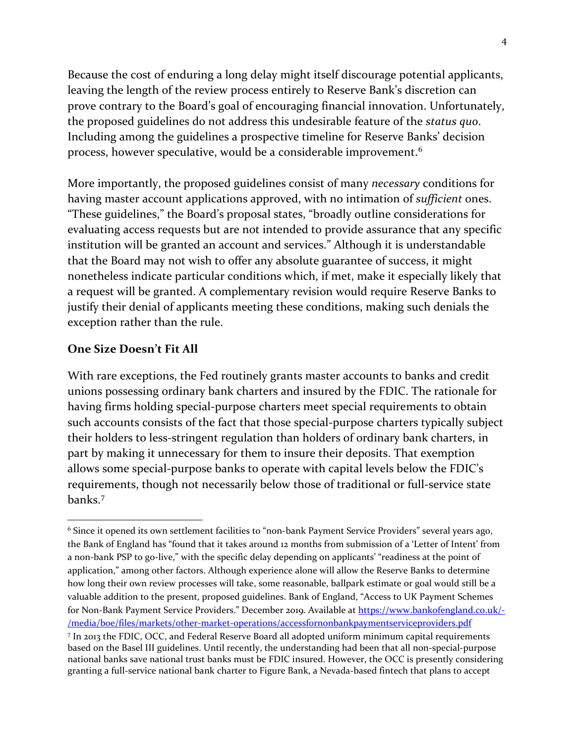Because the cost of enduring a long delay might itself discourage potential applicants, leaving the length of the review process entirely to Reserve Bank's discretion can prove contrary to the Board's goal of encouraging financial innovation. Unfortunately, the proposed guidelines do not address this undesirable feature of the *status quo*. Including among the guidelines a prospective timeline for Reserve Banks' decision process, however speculative, would be a considerable improvement.<sup>[6](#page-3-0)</sup>

More importantly, the proposed guidelines consist of many *necessary* conditions for having master account applications approved, with no intimation of *sufficient* ones. "These guidelines," the Board's proposal states, "broadly outline considerations for evaluating access requests but are not intended to provide assurance that any specific institution will be granted an account and services." Although it is understandable that the Board may not wish to offer any absolute guarantee of success, it might nonetheless indicate particular conditions which, if met, make it especially likely that a request will be granted. A complementary revision would require Reserve Banks to justify their denial of applicants meeting these conditions, making such denials the exception rather than the rule.

#### **One Size Doesn't Fit All**

With rare exceptions, the Fed routinely grants master accounts to banks and credit unions possessing ordinary bank charters and insured by the FDIC. The rationale for having firms holding special-purpose charters meet special requirements to obtain such accounts consists of the fact that those special-purpose charters typically subject their holders to less-stringent regulation than holders of ordinary bank charters, in part by making it unnecessary for them to insure their deposits. That exemption allows some special-purpose banks to operate with capital levels below the FDIC's requirements, though not necessarily below those of traditional or full-service state banks.[7](#page-3-1)

<span id="page-3-1"></span><span id="page-3-0"></span><sup>6</sup> Since it opened its own settlement facilities to "non-bank Payment Service Providers" several years ago, [the Bank of England](https://www.bankofengland.co.uk/-/media/boe/files/markets/other-market-operations/accessfornonbankpaymentserviceproviders.pdf) has "found that it takes around 12 months from submission of a 'Letter of Intent' from a non-bank PSP to go-live," with the specific delay depending on applicants' "readiness at the point of application," among other factors. Although experience alone will allow the Reserve Banks to determine how long their own review processes will take, some reasonable, ballpark estimate or goal would still be a valuable addition to the present, proposed guidelines. Bank of England, "Access to UK Payment Schemes for Non-Bank Payment Service Providers." December 2019. Available a[t https://www.bankofengland.co.uk/-](https://www.bankofengland.co.uk/-/media/boe/files/markets/other-market-operations/accessfornonbankpaymentserviceproviders.pdf) [/media/boe/files/markets/other-market-operations/accessfornonbankpaymentserviceproviders.pdf](https://www.bankofengland.co.uk/-/media/boe/files/markets/other-market-operations/accessfornonbankpaymentserviceproviders.pdf) <sup>7</sup> In 2013 the FDIC, OCC, and Federal Reserve Board all adopted uniform minimum capital requirements based on the Basel III guidelines. Until recently, the understanding had been that all non-special-purpose national banks save national trust banks must be FDIC insured. However, the OCC is presently considering granting a full-service national bank charter to Figure Bank, a Nevada-based fintech that plans to accept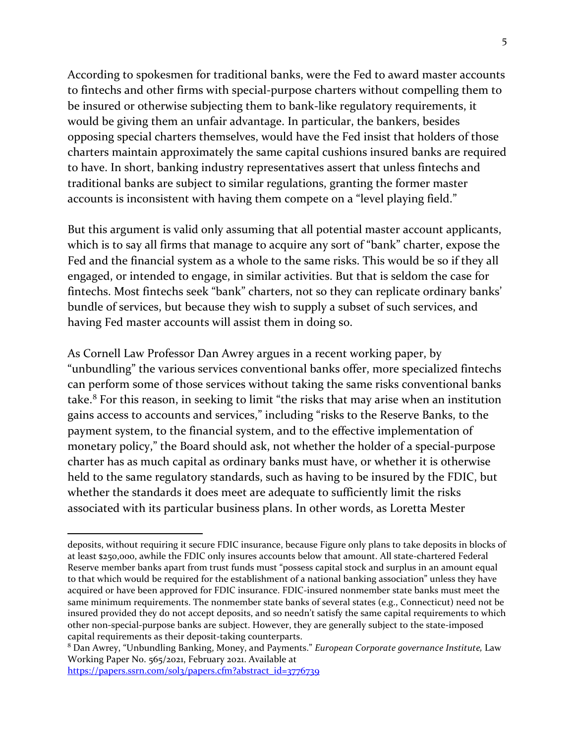According to spokesmen for traditional banks, were the Fed to award master accounts to fintechs and other firms with special-purpose charters without compelling them to be insured or otherwise subjecting them to bank-like regulatory requirements, it would be giving them an unfair advantage. In particular, the bankers, besides opposing special charters themselves, would have the Fed insist that holders of those charters maintain approximately the same capital cushions insured banks are required to have. In short, banking industry representatives assert that unless fintechs and traditional banks are subject to similar regulations, granting the former master accounts is inconsistent with having them compete on a "level playing field."

But this argument is valid only assuming that all potential master account applicants, which is to say all firms that manage to acquire any sort of "bank" charter, expose the Fed and the financial system as a whole to the same risks. This would be so if they all engaged, or intended to engage, in similar activities. But that is seldom the case for fintechs. Most fintechs seek "bank" charters, not so they can replicate ordinary banks' bundle of services, but because they wish to supply a subset of such services, and having Fed master accounts will assist them in doing so.

As Cornell Law Professor Dan Awrey argues in a recent working paper, by "unbundling" the various services conventional banks offer, more specialized fintechs can perform some of those services without taking the same risks conventional banks take.[8](#page-4-0) For this reason, in seeking to limit "the risks that may arise when an institution gains access to accounts and services," including "risks to the Reserve Banks, to the payment system, to the financial system, and to the effective implementation of monetary policy," the Board should ask, not whether the holder of a special-purpose charter has as much capital as ordinary banks must have, or whether it is otherwise held to the same regulatory standards, such as having to be insured by the FDIC, but whether the standards it does meet are adequate to sufficiently limit the risks associated with its particular business plans. In other words, as Loretta Mester

[https://papers.ssrn.com/sol3/papers.cfm?abstract\\_id=3776739](https://papers.ssrn.com/sol3/papers.cfm?abstract_id=3776739)

deposits, without requiring it secure FDIC insurance, because Figure only plans to take deposits in blocks of at least \$250,000, awhile the FDIC only insures accounts below that amount. All state-chartered Federal Reserve member banks apart from trust funds must "possess capital stock and surplus in an amount equal to that which would be required for the establishment of a national banking association" unless they have acquired or have been approved for FDIC insurance. FDIC-insured nonmember state banks must meet the same minimum requirements. The nonmember state banks of several states (e.g., Connecticut) need not be insured provided they do not accept deposits, and so needn't satisfy the same capital requirements to which other non-special-purpose banks are subject. However, they are generally subject to the state-imposed capital requirements as their deposit-taking counterparts.

<span id="page-4-0"></span><sup>8</sup> Dan Awrey, "Unbundling Banking, Money, and Payments." *European Corporate governance Institute,* Law Working Paper No. 565/2021, February 2021. Available at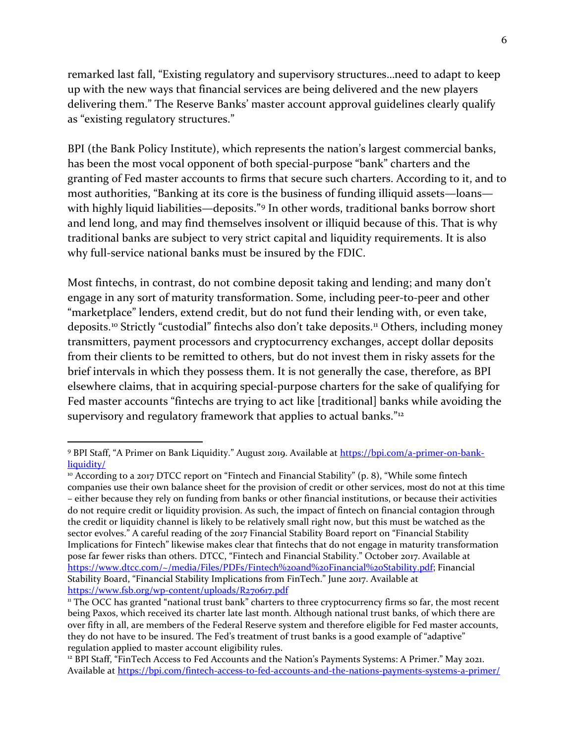remarked last fall, "Existing regulatory and supervisory structures…need to adapt to keep up with the new ways that financial services are being delivered and the new players delivering them." The Reserve Banks' master account approval guidelines clearly qualify as "existing regulatory structures."

BPI (the Bank Policy Institute), which represents the nation's largest commercial banks, has been the most vocal opponent of both special-purpose "bank" charters and the granting of Fed master accounts to firms that secure such charters. According to it, and to most authorities, "Banking at its core is the business of funding illiquid assets—loans— with highly liquid liabilities—deposits."<sup>[9](#page-5-0)</sup> In other words, traditional banks borrow short and lend long, and may find themselves insolvent or illiquid because of this. That is why traditional banks are subject to very strict capital and liquidity requirements. It is also why full-service national banks must be insured by the FDIC.

Most fintechs, in contrast, do not combine deposit taking and lending; and many don't engage in any sort of maturity transformation. Some, including peer-to-peer and other "marketplace" lenders, extend credit, but do not fund their lending with, or even take, deposits.<sup>[10](#page-5-1)</sup> Strictly "custodial" fintechs also don't take deposits.<sup>[11](#page-5-2)</sup> Others, including money transmitters, payment processors and cryptocurrency exchanges, accept dollar deposits from their clients to be remitted to others, but do not invest them in risky assets for the brief intervals in which they possess them. It is not generally the case, therefore, as BPI elsewhere claims, that in acquiring special-purpose charters for the sake of qualifying for Fed master accounts "fintechs are trying to act like [traditional] banks while avoiding the supervisory and regulatory framework that applies to actual banks."<sup>[12](#page-5-3)</sup>

<span id="page-5-0"></span><sup>9</sup> BPI Staff, "A Primer on Bank Liquidity." August 2019. Available at [https://bpi.com/a-primer-on-bank](https://bpi.com/a-primer-on-bank-liquidity/)[liquidity/](https://bpi.com/a-primer-on-bank-liquidity/)

<span id="page-5-1"></span> $10$  According to a 2017 DTCC report on "Fintech and Financial Stability" (p. 8), "While some fintech companies use their own balance sheet for the provision of credit or other services, most do not at this time – either because they rely on funding from banks or other financial institutions, or because their activities do not require credit or liquidity provision. As such, the impact of fintech on financial contagion through the credit or liquidity channel is likely to be relatively small right now, but this must be watched as the sector evolves." A careful reading of the 2017 Financial Stability Board report on "Financial Stability Implications for Fintech" likewise makes clear that fintechs that do not engage in maturity transformation pose far fewer risks than others. DTCC, "Fintech and Financial Stability." October 2017. Available at [https://www.dtcc.com/~/media/Files/PDFs/Fintech%20and%20Financial%20Stability.pdf;](https://www.dtcc.com/%7E/media/Files/PDFs/Fintech%20and%20Financial%20Stability.pdf) Financial Stability Board, "Financial Stability Implications from FinTech." June 2017. Available at <https://www.fsb.org/wp-content/uploads/R270617.pdf>

<span id="page-5-2"></span><sup>&</sup>lt;sup>11</sup> The OCC has granted "national trust bank" charters to three cryptocurrency firms so far, the most recent being Paxos, which received its charter late last month. Although national trust banks, of which there are over fifty in all, are members of the Federal Reserve system and therefore eligible for Fed master accounts, they do not have to be insured. The Fed's treatment of trust banks is a good example of "adaptive" regulation applied to master account eligibility rules.<br><sup>12</sup> BPI Staff, "FinTech Access to Fed Accounts and the Nation's Payments Systems: A Primer." May 2021.

<span id="page-5-3"></span>Available at<https://bpi.com/fintech-access-to-fed-accounts-and-the-nations-payments-systems-a-primer/>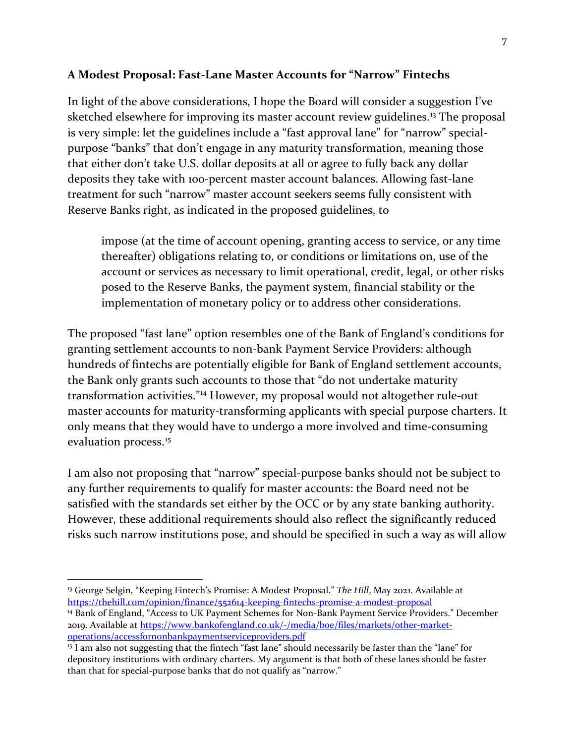#### **A Modest Proposal: Fast-Lane Master Accounts for "Narrow" Fintechs**

In light of the above considerations, I hope the Board will consider a suggestion I've sketched elsewhere for improving its master account review guidelines.<sup>[13](#page-6-0)</sup> The proposal is very simple: let the guidelines include a "fast approval lane" for "narrow" specialpurpose "banks" that don't engage in any maturity transformation, meaning those that either don't take U.S. dollar deposits at all or agree to fully back any dollar deposits they take with 100-percent master account balances. Allowing fast-lane treatment for such "narrow" master account seekers seems fully consistent with Reserve Banks right, as indicated in the proposed guidelines, to

impose (at the time of account opening, granting access to service, or any time thereafter) obligations relating to, or conditions or limitations on, use of the account or services as necessary to limit operational, credit, legal, or other risks posed to the Reserve Banks, the payment system, financial stability or the implementation of monetary policy or to address other considerations.

The proposed "fast lane" option resembles one of the Bank of England's conditions for granting settlement accounts to non-bank Payment Service Providers: although hundreds of fintechs are potentially eligible for Bank of England settlement accounts, the Bank only grants such accounts to those that "do not undertake maturity transformation activities.["14](#page-6-1) However, my proposal would not altogether rule-out master accounts for maturity-transforming applicants with special purpose charters. It only means that they would have to undergo a more involved and time-consuming evaluation process.<sup>[15](#page-6-2)</sup>

I am also not proposing that "narrow" special-purpose banks should not be subject to any further requirements to qualify for master accounts: the Board need not be satisfied with the standards set either by the OCC or by any state banking authority. However, these additional requirements should also reflect the significantly reduced risks such narrow institutions pose, and should be specified in such a way as will allow

<span id="page-6-1"></span><span id="page-6-0"></span><sup>13</sup> George Selgin, "Keeping Fintech's Promise: A Modest Proposal." *The Hill*, May 2021. Available at <https://thehill.com/opinion/finance/552614-keeping-fintechs-promise-a-modest-proposal> <sup>14</sup> Bank of England, "Access to UK Payment Schemes for Non-Bank Payment Service Providers." December 2019. Available at [https://www.bankofengland.co.uk/-/media/boe/files/markets/other-market](https://www.bankofengland.co.uk/-/media/boe/files/markets/other-market-operations/accessfornonbankpaymentserviceproviders.pdf)[operations/accessfornonbankpaymentserviceproviders.pdf](https://www.bankofengland.co.uk/-/media/boe/files/markets/other-market-operations/accessfornonbankpaymentserviceproviders.pdf)

<span id="page-6-2"></span><sup>&</sup>lt;sup>15</sup> I am also not suggesting that the fintech "fast lane" should necessarily be faster than the "lane" for depository institutions with ordinary charters. My argument is that both of these lanes should be faster than that for special-purpose banks that do not qualify as "narrow."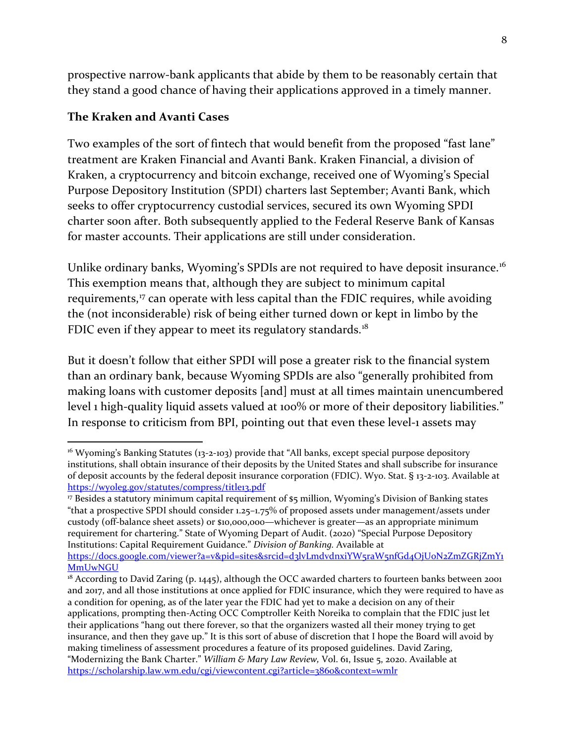prospective narrow-bank applicants that abide by them to be reasonably certain that they stand a good chance of having their applications approved in a timely manner.

#### **The Kraken and Avanti Cases**

Two examples of the sort of fintech that would benefit from the proposed "fast lane" treatment are Kraken Financial and Avanti Bank. Kraken Financial, a division of Kraken, a cryptocurrency and bitcoin exchange, received one of Wyoming's Special Purpose Depository Institution (SPDI) charters last September; Avanti Bank, which seeks to offer cryptocurrency custodial services, secured its own Wyoming SPDI charter soon after. Both subsequently applied to the Federal Reserve Bank of Kansas for master accounts. Their applications are still under consideration.

Unlike ordinary banks, Wyoming's SPDIs are not required to have deposit insurance.<sup>[16](#page-7-0)</sup> This exemption means that, although they are subject to minimum capital requirements,<sup>[17](#page-7-1)</sup> can operate with less capital than the FDIC requires, while avoiding the (not inconsiderable) risk of being either turned down or kept in limbo by the FDIC even if they appear to meet its regulatory standards.<sup>[18](#page-7-2)</sup>

But it doesn't follow that either SPDI will pose a greater risk to the financial system than an ordinary bank, because Wyoming SPDIs are also "generally prohibited from making loans with customer deposits [and] must at all times maintain unencumbered level 1 high-quality liquid assets valued at 100% or more of their depository liabilities." In response to criticism from BPI, pointing out that even these level-1 assets may

<span id="page-7-0"></span><sup>&</sup>lt;sup>16</sup> Wyoming's Banking Statutes (13-2-103) provide that "All banks, except special purpose depository institutions, shall obtain insurance of their deposits by the United States and shall subscribe for insurance of deposit accounts by the federal deposit insurance corporation (FDIC). Wyo. Stat. § 13-2-103. Available at <https://wyoleg.gov/statutes/compress/title13.pdf>

<span id="page-7-1"></span><sup>17</sup> Besides a statutory minimum capital requirement of \$5 million, Wyoming's Division of Banking states "that a prospective SPDI should consider 1.25–1.75% of proposed assets under management/assets under custody (off-balance sheet assets) or \$10,000,000—whichever is greater—as an appropriate minimum requirement for chartering." State of Wyoming Depart of Audit. (2020) "Special Purpose Depository Institutions: Capital Requirement Guidance." *Division of Banking.* Available at

[https://docs.google.com/viewer?a=v&pid=sites&srcid=d3lvLmdvdnxiYW5raW5nfGd4OjU0N2ZmZGRjZmY1](https://docs.google.com/viewer?a=v&pid=sites&srcid=d3lvLmdvdnxiYW5raW5nfGd4OjU0N2ZmZGRjZmY1MmUwNGU) [MmUwNGU](https://docs.google.com/viewer?a=v&pid=sites&srcid=d3lvLmdvdnxiYW5raW5nfGd4OjU0N2ZmZGRjZmY1MmUwNGU)

<span id="page-7-2"></span><sup>&</sup>lt;sup>18</sup> According to David Zaring (p. 1445), although the OCC awarded charters to fourteen banks between 2001 and 2017, and all those institutions at once applied for FDIC insurance, which they were required to have as a condition for opening, as of the later year the FDIC had yet to make a decision on any of their applications, prompting then-Acting OCC Comptroller Keith Noreika to complain that the FDIC just let their applications "hang out there forever, so that the organizers wasted all their money trying to get insurance, and then they gave up." It is this sort of abuse of discretion that I hope the Board will avoid by making timeliness of assessment procedures a feature of its proposed guidelines. David Zaring, "Modernizing the Bank Charter." *William & Mary Law Review,* Vol. 61, Issue 5, 2020. Available at <https://scholarship.law.wm.edu/cgi/viewcontent.cgi?article=3860&context=wmlr>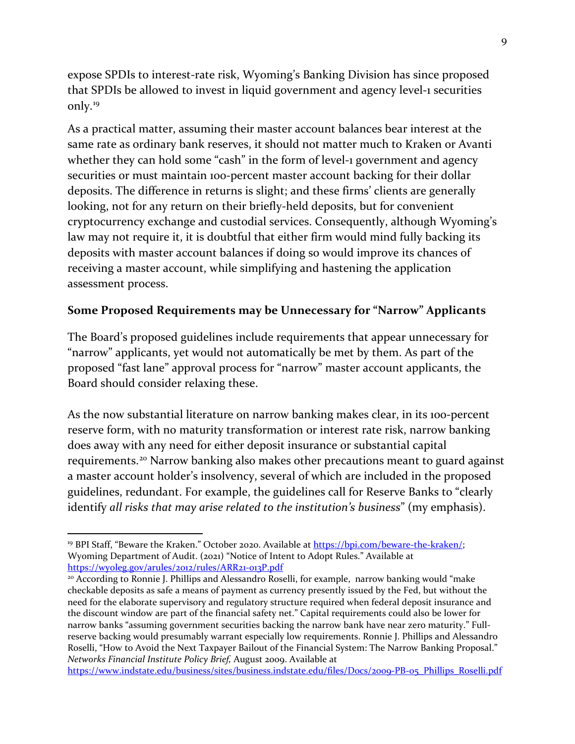expose SPDIs to interest-rate risk, Wyoming's Banking Division has since proposed that SPDIs be allowed to invest in liquid government and agency level-1 securities only.[19](#page-8-0)

As a practical matter, assuming their master account balances bear interest at the same rate as ordinary bank reserves, it should not matter much to Kraken or Avanti whether they can hold some "cash" in the form of level-1 government and agency securities or must maintain 100-percent master account backing for their dollar deposits. The difference in returns is slight; and these firms' clients are generally looking, not for any return on their briefly-held deposits, but for convenient cryptocurrency exchange and custodial services. Consequently, although Wyoming's law may not require it, it is doubtful that either firm would mind fully backing its deposits with master account balances if doing so would improve its chances of receiving a master account, while simplifying and hastening the application assessment process.

### **Some Proposed Requirements may be Unnecessary for "Narrow" Applicants**

The Board's proposed guidelines include requirements that appear unnecessary for "narrow" applicants, yet would not automatically be met by them. As part of the proposed "fast lane" approval process for "narrow" master account applicants, the Board should consider relaxing these.

As the now substantial literature on narrow banking makes clear, in its 1oo-percent reserve form, with no maturity transformation or interest rate risk, narrow banking does away with any need for either deposit insurance or substantial capital requirements.[20](#page-8-1) Narrow banking also makes other precautions meant to guard against a master account holder's insolvency, several of which are included in the proposed guidelines, redundant. For example, the guidelines call for Reserve Banks to "clearly identify *all risks that may arise related to the institution's business*" (my emphasis).

<span id="page-8-0"></span><sup>&</sup>lt;sup>19</sup> BPI Staff, "Beware the Kraken." October 2020. Available at [https://bpi.com/beware-the-kraken/;](https://bpi.com/beware-the-kraken/) Wyoming Department of Audit. (2021) "Notice of Intent to Adopt Rules." Available at <https://wyoleg.gov/arules/2012/rules/ARR21-013P.pdf>

<span id="page-8-1"></span><sup>&</sup>lt;sup>20</sup> According to Ronnie J. Phillips and Alessandro Roselli, for example, narrow banking would "make checkable deposits as safe a means of payment as currency presently issued by the Fed, but without the need for the elaborate supervisory and regulatory structure required when federal deposit insurance and the discount window are part of the financial safety net." Capital requirements could also be lower for narrow banks "assuming government securities backing the narrow bank have near zero maturity." Fullreserve backing would presumably warrant especially low requirements. Ronnie J. Phillips and Alessandro Roselli, "How to Avoid the Next Taxpayer Bailout of the Financial System: The Narrow Banking Proposal." *Networks Financial Institute Policy Brief,* August 2009. Available at

[https://www.indstate.edu/business/sites/business.indstate.edu/files/Docs/2009-PB-05\\_Phillips\\_Roselli.pdf](https://www.indstate.edu/business/sites/business.indstate.edu/files/Docs/2009-PB-05_Phillips_Roselli.pdf)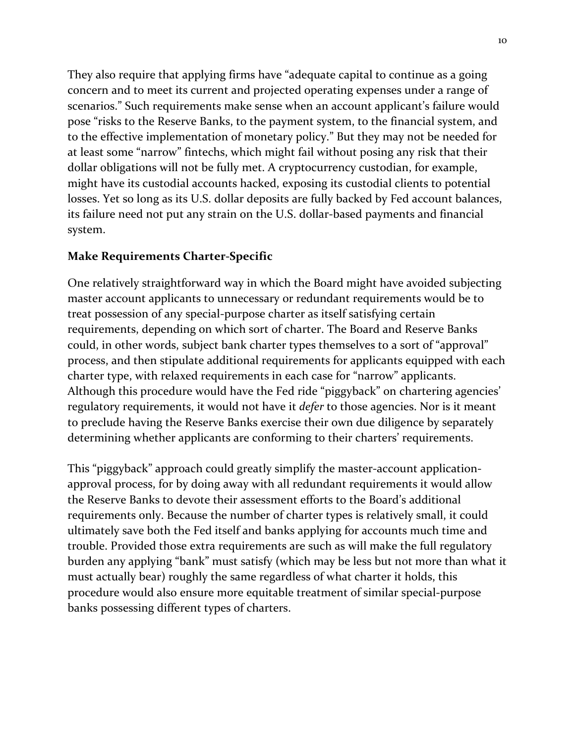They also require that applying firms have "adequate capital to continue as a going concern and to meet its current and projected operating expenses under a range of scenarios." Such requirements make sense when an account applicant's failure would pose "risks to the Reserve Banks, to the payment system, to the financial system, and to the effective implementation of monetary policy." But they may not be needed for at least some "narrow" fintechs, which might fail without posing any risk that their dollar obligations will not be fully met. A cryptocurrency custodian, for example, might have its custodial accounts hacked, exposing its custodial clients to potential losses. Yet so long as its U.S. dollar deposits are fully backed by Fed account balances, its failure need not put any strain on the U.S. dollar-based payments and financial system.

#### **Make Requirements Charter-Specific**

One relatively straightforward way in which the Board might have avoided subjecting master account applicants to unnecessary or redundant requirements would be to treat possession of any special-purpose charter as itself satisfying certain requirements, depending on which sort of charter. The Board and Reserve Banks could, in other words, subject bank charter types themselves to a sort of "approval" process, and then stipulate additional requirements for applicants equipped with each charter type, with relaxed requirements in each case for "narrow" applicants. Although this procedure would have the Fed ride "piggyback" on chartering agencies' regulatory requirements, it would not have it *defer* to those agencies. Nor is it meant to preclude having the Reserve Banks exercise their own due diligence by separately determining whether applicants are conforming to their charters' requirements.

This "piggyback" approach could greatly simplify the master-account applicationapproval process, for by doing away with all redundant requirements it would allow the Reserve Banks to devote their assessment efforts to the Board's additional requirements only. Because the number of charter types is relatively small, it could ultimately save both the Fed itself and banks applying for accounts much time and trouble. Provided those extra requirements are such as will make the full regulatory burden any applying "bank" must satisfy (which may be less but not more than what it must actually bear) roughly the same regardless of what charter it holds, this procedure would also ensure more equitable treatment of similar special-purpose banks possessing different types of charters.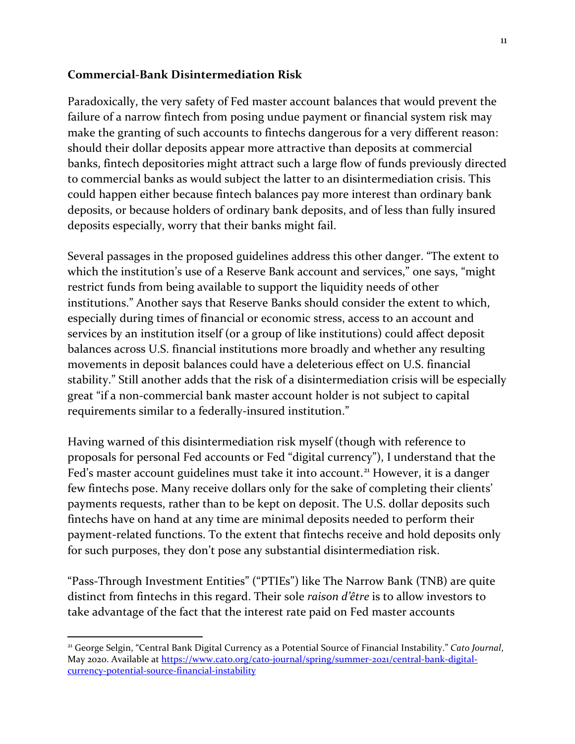#### **Commercial-Bank Disintermediation Risk**

Paradoxically, the very safety of Fed master account balances that would prevent the failure of a narrow fintech from posing undue payment or financial system risk may make the granting of such accounts to fintechs dangerous for a very different reason: should their dollar deposits appear more attractive than deposits at commercial banks, fintech depositories might attract such a large flow of funds previously directed to commercial banks as would subject the latter to an disintermediation crisis. This could happen either because fintech balances pay more interest than ordinary bank deposits, or because holders of ordinary bank deposits, and of less than fully insured deposits especially, worry that their banks might fail.

Several passages in the proposed guidelines address this other danger. "The extent to which the institution's use of a Reserve Bank account and services," one says, "might restrict funds from being available to support the liquidity needs of other institutions." Another says that Reserve Banks should consider the extent to which, especially during times of financial or economic stress, access to an account and services by an institution itself (or a group of like institutions) could affect deposit balances across U.S. financial institutions more broadly and whether any resulting movements in deposit balances could have a deleterious effect on U.S. financial stability." Still another adds that the risk of a disintermediation crisis will be especially great "if a non-commercial bank master account holder is not subject to capital requirements similar to a federally-insured institution."

Having warned of this disintermediation risk myself (though with reference to proposals for personal Fed accounts or Fed "digital currency"), I understand that the Fed's master account guidelines must take it into account.<sup>[21](#page-10-0)</sup> However, it is a danger few fintechs pose. Many receive dollars only for the sake of completing their clients' payments requests, rather than to be kept on deposit. The U.S. dollar deposits such fintechs have on hand at any time are minimal deposits needed to perform their payment-related functions. To the extent that fintechs receive and hold deposits only for such purposes, they don't pose any substantial disintermediation risk.

"Pass-Through Investment Entities" ("PTIEs") like The Narrow Bank (TNB) are quite distinct from fintechs in this regard. Their sole *raison d'être* is to allow investors to take advantage of the fact that the interest rate paid on Fed master accounts

<span id="page-10-0"></span><sup>21</sup> George Selgin, "Central Bank Digital Currency as a Potential Source of Financial Instability." *Cato Journal*, May 2020. Available at [https://www.cato.org/cato-journal/spring/summer-2021/central-bank-digital](https://www.cato.org/cato-journal/spring/summer-2021/central-bank-digital-currency-potential-source-financial-instability)[currency-potential-source-financial-instability](https://www.cato.org/cato-journal/spring/summer-2021/central-bank-digital-currency-potential-source-financial-instability)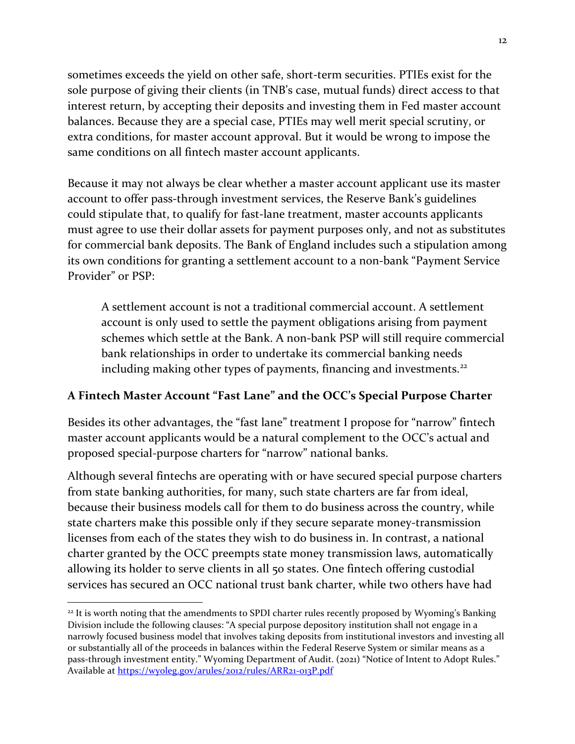sometimes exceeds the yield on other safe, short-term securities. PTIEs exist for the sole purpose of giving their clients (in TNB's case, mutual funds) direct access to that interest return, by accepting their deposits and investing them in Fed master account balances. Because they are a special case, PTIEs may well merit special scrutiny, or extra conditions, for master account approval. But it would be wrong to impose the same conditions on all fintech master account applicants.

Because it may not always be clear whether a master account applicant use its master account to offer pass-through investment services, the Reserve Bank's guidelines could stipulate that, to qualify for fast-lane treatment, master accounts applicants must agree to use their dollar assets for payment purposes only, and not as substitutes for commercial bank deposits. The Bank of England includes such a stipulation among its own conditions for granting a settlement account to a non-bank "Payment Service Provider" or PSP:

A settlement account is not a traditional commercial account. A settlement account is only used to settle the payment obligations arising from payment schemes which settle at the Bank. A non-bank PSP will still require commercial bank relationships in order to undertake its commercial banking needs including making other types of payments, financing and investments.<sup>[22](#page-11-0)</sup>

## **A Fintech Master Account "Fast Lane" and the OCC's Special Purpose Charter**

Besides its other advantages, the "fast lane" treatment I propose for "narrow" fintech master account applicants would be a natural complement to the OCC's actual and proposed special-purpose charters for "narrow" national banks.

Although several fintechs are operating with or have secured special purpose charters from state banking authorities, for many, such state charters are far from ideal, because their business models call for them to do business across the country, while state charters make this possible only if they secure separate money-transmission licenses from each of the states they wish to do business in. In contrast, a national charter granted by the OCC preempts state money transmission laws, automatically allowing its holder to serve clients in all 50 states. One fintech offering custodial services has secured an OCC national trust bank charter, while two others have had

<span id="page-11-0"></span><sup>&</sup>lt;sup>22</sup> It is worth noting that the amendments to SPDI charter rules recently proposed by Wyoming's Banking Division include the following clauses: "A special purpose depository institution shall not engage in a narrowly focused business model that involves taking deposits from institutional investors and investing all or substantially all of the proceeds in balances within the Federal Reserve System or similar means as a pass-through investment entity." Wyoming Department of Audit. (2021) "Notice of Intent to Adopt Rules." Available at<https://wyoleg.gov/arules/2012/rules/ARR21-013P.pdf>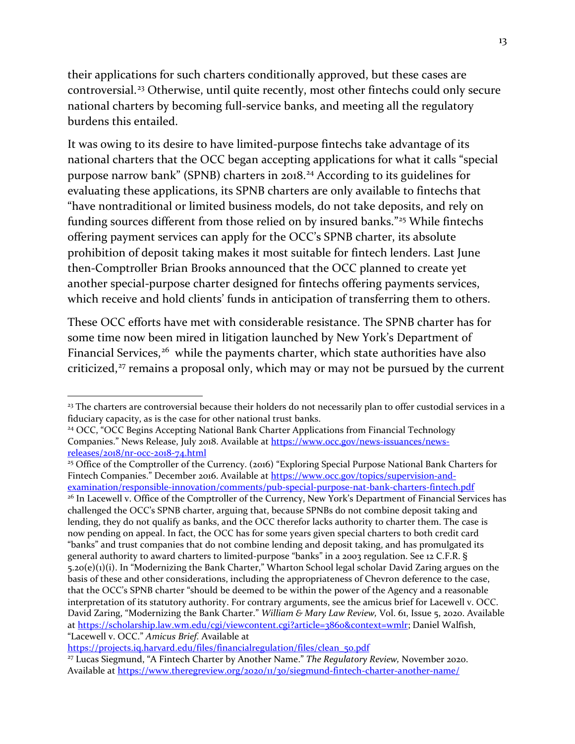their applications for such charters conditionally approved, but these cases are controversial.<sup>[23](#page-12-0)</sup> Otherwise, until quite recently, most other fintechs could only secure national charters by becoming full-service banks, and meeting all the regulatory burdens this entailed.

It was owing to its desire to have limited-purpose fintechs take advantage of its national charters that the OCC began accepting applications for what it calls "special purpose narrow bank" (SPNB) charters in 2018[.24](#page-12-1) According to its guidelines for evaluating these applications, its SPNB charters are only available to fintechs that "have nontraditional or limited business models, do not take deposits, and rely on funding sources different from those relied on by insured banks."[25](#page-12-2) While fintechs offering payment services can apply for the OCC's SPNB charter, its absolute prohibition of deposit taking makes it most suitable for fintech lenders. Last June then-Comptroller Brian Brooks announced that the OCC planned to create yet another special-purpose charter designed for fintechs offering payments services, which receive and hold clients' funds in anticipation of transferring them to others.

These OCC efforts have met with considerable resistance. The SPNB charter has for some time now been mired in litigation launched by New York's Department of Financial Services,<sup>[26](#page-12-3)</sup> while the payments charter, which state authorities have also criticized,<sup>[27](#page-12-4)</sup> remains a proposal only, which may or may not be pursued by the current

<span id="page-12-3"></span>[examination/responsible-innovation/comments/pub-special-purpose-nat-bank-charters-fintech.pdf](https://www.occ.gov/topics/supervision-and-examination/responsible-innovation/comments/pub-special-purpose-nat-bank-charters-fintech.pdf) <sup>26</sup> In Lacewell v. Office of the Comptroller of the Currency, New York's Department of Financial Services has challenged the OCC's SPNB charter, arguing that, because SPNBs do not combine deposit taking and lending, they do not qualify as banks, and the OCC therefor lacks authority to charter them. The case is now pending on appeal. In fact, the OCC has for some years given special charters to both credit card "banks" and trust companies that do not combine lending and deposit taking, and has promulgated its general authority to award charters to limited-purpose "banks" in a 2003 regulation. See 12 C.F.R. § 5.20(e)(1)(i). In "Modernizing the Bank Charter," Wharton School legal scholar David Zaring argues on the basis of these and other considerations, including the appropriateness of Chevron deference to the case, that the OCC's SPNB charter "should be deemed to be within the power of the Agency and a reasonable interpretation of its statutory authority. For contrary arguments, see the amicus brief for Lacewell v. OCC. David Zaring, "Modernizing the Bank Charter." *William & Mary Law Review,* Vol. 61, Issue 5, 2020. Available at [https://scholarship.law.wm.edu/cgi/viewcontent.cgi?article=3860&context=wmlr;](https://scholarship.law.wm.edu/cgi/viewcontent.cgi?article=3860&context=wmlr) Daniel Walfish, "Lacewell v. OCC." *Amicus Brief.* Available at

[https://projects.iq.harvard.edu/files/financialregulation/files/clean\\_50.pdf](https://projects.iq.harvard.edu/files/financialregulation/files/clean_50.pdf)

<span id="page-12-4"></span><sup>27</sup> Lucas Siegmund, "A Fintech Charter by Another Name." *The Regulatory Review,* November 2020. Available at<https://www.theregreview.org/2020/11/30/siegmund-fintech-charter-another-name/>

<span id="page-12-0"></span><sup>&</sup>lt;sup>23</sup> The charters are controversial because their holders do not necessarily plan to offer custodial services in a fiduciary capacity, as is the case for other national trust banks.

<span id="page-12-1"></span><sup>&</sup>lt;sup>24</sup> OCC, "OCC Begins Accepting National Bank Charter Applications from Financial Technology Companies." News Release, July 2018. Available at [https://www.occ.gov/news-issuances/news](https://www.occ.gov/news-issuances/news-releases/2018/nr-occ-2018-74.html)[releases/2018/nr-occ-2018-74.html](https://www.occ.gov/news-issuances/news-releases/2018/nr-occ-2018-74.html)

<span id="page-12-2"></span><sup>&</sup>lt;sup>25</sup> Office of the Comptroller of the Currency. (2016) "Exploring Special Purpose National Bank Charters for Fintech Companies." December 2016. Available a[t https://www.occ.gov/topics/supervision-and-](https://www.occ.gov/topics/supervision-and-examination/responsible-innovation/comments/pub-special-purpose-nat-bank-charters-fintech.pdf)